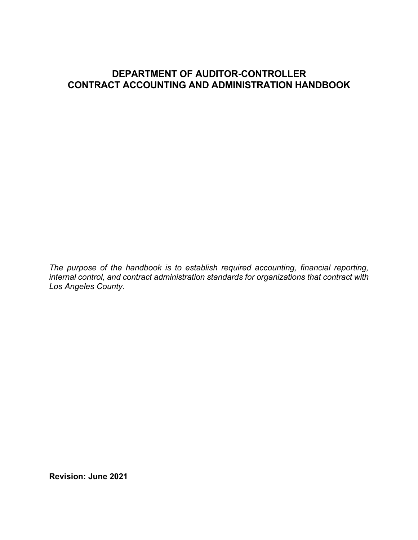# **DEPARTMENT OF AUDITOR-CONTROLLER CONTRACT ACCOUNTING AND ADMINISTRATION HANDBOOK**

*The purpose of the handbook is to establish required accounting, financial reporting, internal control, and contract administration standards for organizations that contract with Los Angeles County.*

**Revision: June 2021**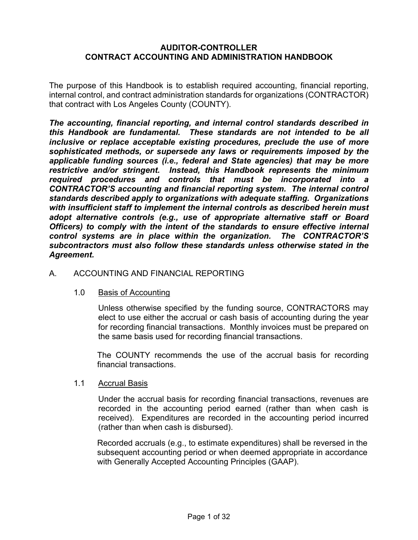### **AUDITOR-CONTROLLER CONTRACT ACCOUNTING AND ADMINISTRATION HANDBOOK**

The purpose of this Handbook is to establish required accounting, financial reporting, internal control, and contract administration standards for organizations (CONTRACTOR) that contract with Los Angeles County (COUNTY).

*The accounting, financial reporting, and internal control standards described in this Handbook are fundamental. These standards are not intended to be all inclusive or replace acceptable existing procedures, preclude the use of more sophisticated methods, or supersede any laws or requirements imposed by the applicable funding sources (i.e., federal and State agencies) that may be more restrictive and/or stringent. Instead, this Handbook represents the minimum required procedures and controls that must be incorporated into a CONTRACTOR'S accounting and financial reporting system. The internal control standards described apply to organizations with adequate staffing. Organizations with insufficient staff to implement the internal controls as described herein must adopt alternative controls (e.g., use of appropriate alternative staff or Board Officers) to comply with the intent of the standards to ensure effective internal control systems are in place within the organization. The CONTRACTOR'S subcontractors must aIso follow these standards unless otherwise stated in the Agreement.*

### A. ACCOUNTING AND FINANCIAL REPORTING

#### 1.0 Basis of Accounting

Unless otherwise specified by the funding source, CONTRACTORS may elect to use either the accrual or cash basis of accounting during the year for recording financial transactions. Monthly invoices must be prepared on the same basis used for recording financial transactions.

The COUNTY recommends the use of the accrual basis for recording financial transactions.

#### 1.1 Accrual Basis

Under the accrual basis for recording financial transactions, revenues are recorded in the accounting period earned (rather than when cash is received). Expenditures are recorded in the accounting period incurred (rather than when cash is disbursed).

Recorded accruals (e.g., to estimate expenditures) shall be reversed in the subsequent accounting period or when deemed appropriate in accordance with Generally Accepted Accounting Principles (GAAP).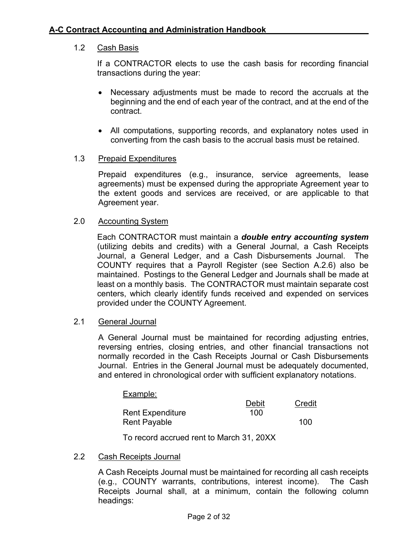## 1.2 Cash Basis

If a CONTRACTOR elects to use the cash basis for recording financial transactions during the year:

- Necessary adjustments must be made to record the accruals at the beginning and the end of each year of the contract, and at the end of the contract.
- All computations, supporting records, and explanatory notes used in converting from the cash basis to the accrual basis must be retained.

### 1.3 Prepaid Expenditures

Prepaid expenditures (e.g., insurance, service agreements, lease agreements) must be expensed during the appropriate Agreement year to the extent goods and services are received, or are applicable to that Agreement year.

### 2.0 Accounting System

Each CONTRACTOR must maintain a *double entry accounting system*  (utilizing debits and credits) with a General Journal, a Cash Receipts Journal, a General Ledger, and a Cash Disbursements Journal. The COUNTY requires that a Payroll Register (see Section A.2.6) also be maintained. Postings to the General Ledger and Journals shall be made at least on a monthly basis. The CONTRACTOR must maintain separate cost centers, which clearly identify funds received and expended on services provided under the COUNTY Agreement.

### 2.1 General Journal

A General Journal must be maintained for recording adjusting entries, reversing entries, closing entries, and other financial transactions not normally recorded in the Cash Receipts Journal or Cash Disbursements Journal. Entries in the General Journal must be adequately documented, and entered in chronological order with sufficient explanatory notations.

| Example: |  |
|----------|--|
|          |  |

|                         | Debit | Credit |
|-------------------------|-------|--------|
| <b>Rent Expenditure</b> | 100   |        |
| Rent Payable            |       | 100    |

To record accrued rent to March 31, 20XX

### 2.2 Cash Receipts Journal

A Cash Receipts Journal must be maintained for recording all cash receipts (e.g., COUNTY warrants, contributions, interest income). The Cash Receipts Journal shall, at a minimum, contain the following column headings: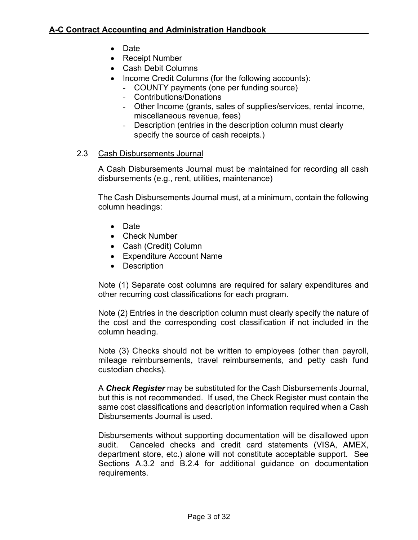- Date
- Receipt Number
- Cash Debit Columns
- Income Credit Columns (for the following accounts):
	- COUNTY payments (one per funding source)
	- Contributions/Donations
	- Other Income (grants, sales of supplies/services, rental income, miscellaneous revenue, fees)
	- Description (entries in the description column must clearly specify the source of cash receipts.)

## 2.3 Cash Disbursements Journal

A Cash Disbursements Journal must be maintained for recording all cash disbursements (e.g., rent, utilities, maintenance)

The Cash Disbursements Journal must, at a minimum, contain the following column headings:

- Date
- Check Number
- Cash (Credit) Column
- Expenditure Account Name
- Description

Note (1) Separate cost columns are required for salary expenditures and other recurring cost classifications for each program.

Note (2) Entries in the description column must clearly specify the nature of the cost and the corresponding cost classification if not included in the column heading.

Note (3) Checks should not be written to employees (other than payroll, mileage reimbursements, travel reimbursements, and petty cash fund custodian checks).

A *Check Register* may be substituted for the Cash Disbursements Journal, but this is not recommended. If used, the Check Register must contain the same cost classifications and description information required when a Cash Disbursements Journal is used.

Disbursements without supporting documentation will be disallowed upon audit. Canceled checks and credit card statements (VISA, AMEX, department store, etc.) alone will not constitute acceptable support. See Sections A.3.2 and B.2.4 for additional guidance on documentation requirements.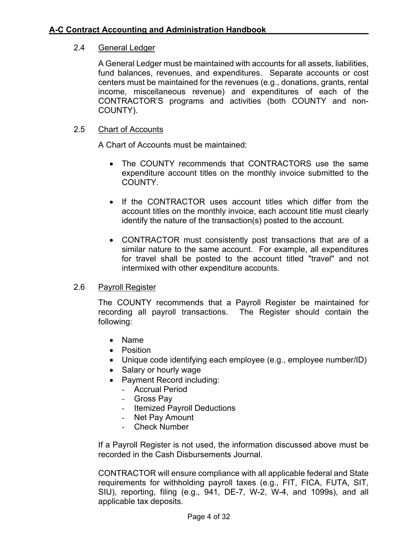## 2.4 General Ledger

A General Ledger must be maintained with accounts for all assets, liabilities, fund balances, revenues, and expenditures. Separate accounts or cost centers must be maintained for the revenues (e.g., donations, grants, rental income, miscellaneous revenue) and expenditures of each of the CONTRACTOR'S programs and activities (both COUNTY and non-COUNTY).

## 2.5 Chart of Accounts

A Chart of Accounts must be maintained:

- The COUNTY recommends that CONTRACTORS use the same expenditure account titles on the monthly invoice submitted to the COUNTY.
- If the CONTRACTOR uses account titles which differ from the account titles on the monthly invoice, each account title must clearly identify the nature of the transaction(s) posted to the account.
- CONTRACTOR must consistently post transactions that are of a similar nature to the same account. For example, all expenditures for travel shall be posted to the account titled "travel" and not intermixed with other expenditure accounts.

### 2.6 Payroll Register

The COUNTY recommends that a Payroll Register be maintained for recording all payroll transactions. The Register should contain the following:

- Name
- Position
- Unique code identifying each employee (e.g., employee number/ID)
- Salary or hourly wage
- Payment Record including:
	- Accrual Period
	- Gross Pay
	- Itemized Payroll Deductions
	- Net Pay Amount
	- Check Number

If a Payroll Register is not used, the information discussed above must be recorded in the Cash Disbursements Journal.

CONTRACTOR will ensure compliance with all applicable federal and State requirements for withholding payroll taxes (e.g., FIT, FICA, FUTA, SIT, SIU), reporting, filing (e.g., 941, DE-7, W-2, W-4, and 1099s), and all applicable tax deposits.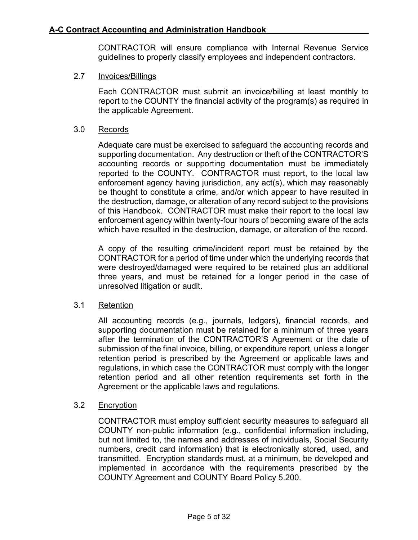CONTRACTOR will ensure compliance with Internal Revenue Service guidelines to properly classify employees and independent contractors.

### 2.7 Invoices/Billings

Each CONTRACTOR must submit an invoice/billing at least monthly to report to the COUNTY the financial activity of the program(s) as required in the applicable Agreement.

### 3.0 Records

Adequate care must be exercised to safeguard the accounting records and supporting documentation. Any destruction or theft of the CONTRACTOR'S accounting records or supporting documentation must be immediately reported to the COUNTY. CONTRACTOR must report, to the local law enforcement agency having jurisdiction, any act(s), which may reasonably be thought to constitute a crime, and/or which appear to have resulted in the destruction, damage, or alteration of any record subject to the provisions of this Handbook. CONTRACTOR must make their report to the local law enforcement agency within twenty-four hours of becoming aware of the acts which have resulted in the destruction, damage, or alteration of the record.

A copy of the resulting crime/incident report must be retained by the CONTRACTOR for a period of time under which the underlying records that were destroyed/damaged were required to be retained plus an additional three years, and must be retained for a longer period in the case of unresolved litigation or audit.

### 3.1 Retention

All accounting records (e.g., journals, ledgers), financial records, and supporting documentation must be retained for a minimum of three years after the termination of the CONTRACTOR'S Agreement or the date of submission of the final invoice, billing, or expenditure report, unless a longer retention period is prescribed by the Agreement or applicable laws and regulations, in which case the CONTRACTOR must comply with the longer retention period and all other retention requirements set forth in the Agreement or the applicable laws and regulations.

### 3.2 Encryption

CONTRACTOR must employ sufficient security measures to safeguard all COUNTY non-public information (e.g., confidential information including, but not limited to, the names and addresses of individuals, Social Security numbers, credit card information) that is electronically stored, used, and transmitted. Encryption standards must, at a minimum, be developed and implemented in accordance with the requirements prescribed by the COUNTY Agreement and COUNTY Board Policy 5.200.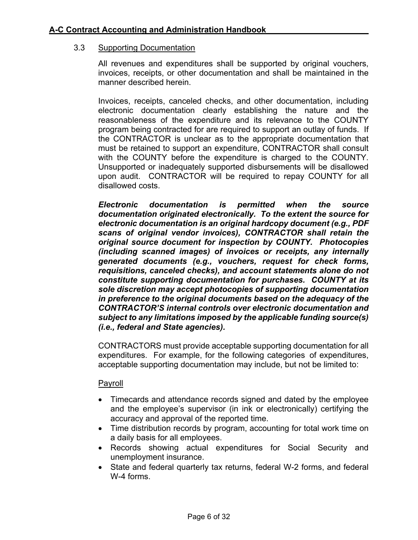### 3.3 Supporting Documentation

All revenues and expenditures shall be supported by original vouchers, invoices, receipts, or other documentation and shall be maintained in the manner described herein.

Invoices, receipts, canceled checks, and other documentation, including electronic documentation clearly establishing the nature and the reasonableness of the expenditure and its relevance to the COUNTY program being contracted for are required to support an outlay of funds. If the CONTRACTOR is unclear as to the appropriate documentation that must be retained to support an expenditure, CONTRACTOR shall consult with the COUNTY before the expenditure is charged to the COUNTY. Unsupported or inadequately supported disbursements will be disallowed upon audit. CONTRACTOR will be required to repay COUNTY for all disallowed costs.

*Electronic documentation is permitted when the source documentation originated electronically. To the extent the source for electronic documentation is an original hardcopy document (e.g., PDF scans of original vendor invoices), CONTRACTOR shall retain the original source document for inspection by COUNTY. Photocopies (including scanned images) of invoices or receipts, any internally generated documents (e.g., vouchers, request for check forms, requisitions, canceled checks), and account statements alone do not constitute supporting documentation for purchases. COUNTY at its sole discretion may accept photocopies of supporting documentation in preference to the original documents based on the adequacy of the CONTRACTOR'S internal controls over electronic documentation and subject to any limitations imposed by the applicable funding source(s) (i.e., federal and State agencies).*

CONTRACTORS must provide acceptable supporting documentation for all expenditures. For example, for the following categories of expenditures, acceptable supporting documentation may include, but not be limited to:

### Payroll

- Timecards and attendance records signed and dated by the employee and the employee's supervisor (in ink or electronically) certifying the accuracy and approval of the reported time.
- Time distribution records by program, accounting for total work time on a daily basis for all employees.
- Records showing actual expenditures for Social Security and unemployment insurance.
- State and federal quarterly tax returns, federal W-2 forms, and federal W-4 forms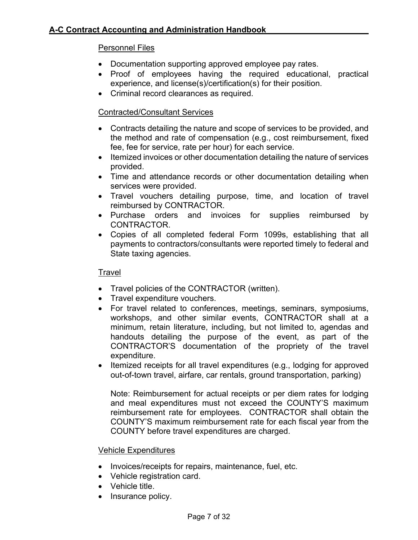## Personnel Files

- Documentation supporting approved employee pay rates.
- Proof of employees having the required educational, practical experience, and license(s)/certification(s) for their position.
- Criminal record clearances as required.

## Contracted/Consultant Services

- Contracts detailing the nature and scope of services to be provided, and the method and rate of compensation (e.g., cost reimbursement, fixed fee, fee for service, rate per hour) for each service.
- Itemized invoices or other documentation detailing the nature of services provided.
- Time and attendance records or other documentation detailing when services were provided.
- Travel vouchers detailing purpose, time, and location of travel reimbursed by CONTRACTOR.
- Purchase orders and invoices for supplies reimbursed by CONTRACTOR.
- Copies of all completed federal Form 1099s, establishing that all payments to contractors/consultants were reported timely to federal and State taxing agencies.

### Travel

- Travel policies of the CONTRACTOR (written).
- Travel expenditure vouchers.
- For travel related to conferences, meetings, seminars, symposiums, workshops, and other similar events, CONTRACTOR shall at a minimum, retain literature, including, but not limited to, agendas and handouts detailing the purpose of the event, as part of the CONTRACTOR'S documentation of the propriety of the travel expenditure.
- Itemized receipts for all travel expenditures (e.g., lodging for approved out-of-town travel, airfare, car rentals, ground transportation, parking)

Note: Reimbursement for actual receipts or per diem rates for lodging and meal expenditures must not exceed the COUNTY'S maximum reimbursement rate for employees. CONTRACTOR shall obtain the COUNTY'S maximum reimbursement rate for each fiscal year from the COUNTY before travel expenditures are charged.

#### Vehicle Expenditures

- Invoices/receipts for repairs, maintenance, fuel, etc.
- Vehicle registration card.
- Vehicle title.
- Insurance policy.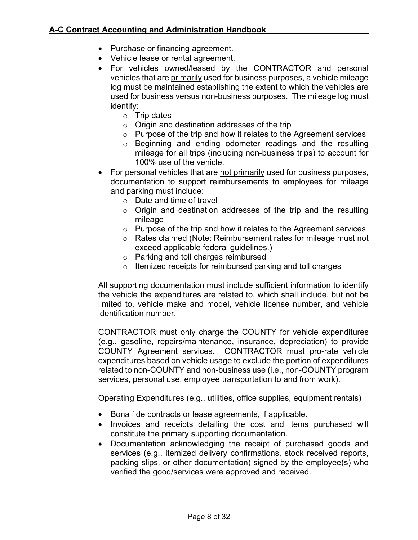- Purchase or financing agreement.
- Vehicle lease or rental agreement.
- For vehicles owned/leased by the CONTRACTOR and personal vehicles that are primarily used for business purposes, a vehicle mileage log must be maintained establishing the extent to which the vehicles are used for business versus non-business purposes. The mileage log must identify:
	- o Trip dates
	- $\circ$  Origin and destination addresses of the trip
	- o Purpose of the trip and how it relates to the Agreement services
	- o Beginning and ending odometer readings and the resulting mileage for all trips (including non-business trips) to account for 100% use of the vehicle.
- For personal vehicles that are not primarily used for business purposes, documentation to support reimbursements to employees for mileage and parking must include:
	- o Date and time of travel
	- o Origin and destination addresses of the trip and the resulting mileage
	- o Purpose of the trip and how it relates to the Agreement services
	- o Rates claimed (Note: Reimbursement rates for mileage must not exceed applicable federal guidelines.)
	- o Parking and toll charges reimbursed
	- o Itemized receipts for reimbursed parking and toll charges

All supporting documentation must include sufficient information to identify the vehicle the expenditures are related to, which shall include, but not be limited to, vehicle make and model, vehicle license number, and vehicle identification number.

CONTRACTOR must only charge the COUNTY for vehicle expenditures (e.g., gasoline, repairs/maintenance, insurance, depreciation) to provide COUNTY Agreement services. CONTRACTOR must pro-rate vehicle expenditures based on vehicle usage to exclude the portion of expenditures related to non-COUNTY and non-business use (i.e., non-COUNTY program services, personal use, employee transportation to and from work).

### Operating Expenditures (e.g., utilities, office supplies, equipment rentals)

- Bona fide contracts or lease agreements, if applicable.
- Invoices and receipts detailing the cost and items purchased will constitute the primary supporting documentation.
- Documentation acknowledging the receipt of purchased goods and services (e.g., itemized delivery confirmations, stock received reports, packing slips, or other documentation) signed by the employee(s) who verified the good/services were approved and received.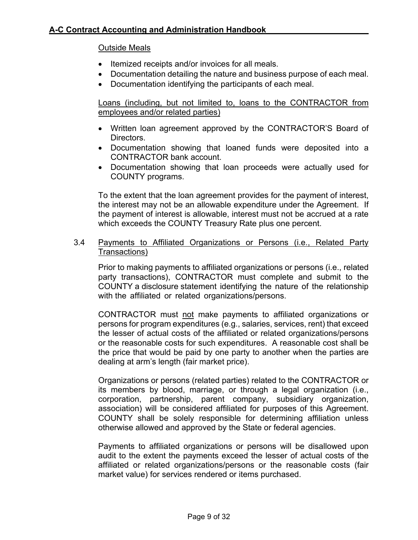### Outside Meals

- Itemized receipts and/or invoices for all meals.
- Documentation detailing the nature and business purpose of each meal.
- Documentation identifying the participants of each meal.

Loans (including, but not limited to, loans to the CONTRACTOR from employees and/or related parties)

- Written loan agreement approved by the CONTRACTOR'S Board of Directors.
- Documentation showing that loaned funds were deposited into a CONTRACTOR bank account.
- Documentation showing that loan proceeds were actually used for COUNTY programs.

To the extent that the loan agreement provides for the payment of interest, the interest may not be an allowable expenditure under the Agreement. If the payment of interest is allowable, interest must not be accrued at a rate which exceeds the COUNTY Treasury Rate plus one percent.

3.4 Payments to Affiliated Organizations or Persons (i.e., Related Party Transactions)

Prior to making payments to affiliated organizations or persons (i.e., related party transactions), CONTRACTOR must complete and submit to the COUNTY a disclosure statement identifying the nature of the relationship with the affiliated or related organizations/persons.

CONTRACTOR must not make payments to affiliated organizations or persons for program expenditures (e.g., salaries, services, rent) that exceed the lesser of actual costs of the affiliated or related organizations/persons or the reasonable costs for such expenditures. A reasonable cost shall be the price that would be paid by one party to another when the parties are dealing at arm's length (fair market price).

Organizations or persons (related parties) related to the CONTRACTOR or its members by blood, marriage, or through a legal organization (i.e., corporation, partnership, parent company, subsidiary organization, association) will be considered affiliated for purposes of this Agreement. COUNTY shall be solely responsible for determining affiliation unless otherwise allowed and approved by the State or federal agencies.

Payments to affiliated organizations or persons will be disallowed upon audit to the extent the payments exceed the lesser of actual costs of the affiliated or related organizations/persons or the reasonable costs (fair market value) for services rendered or items purchased.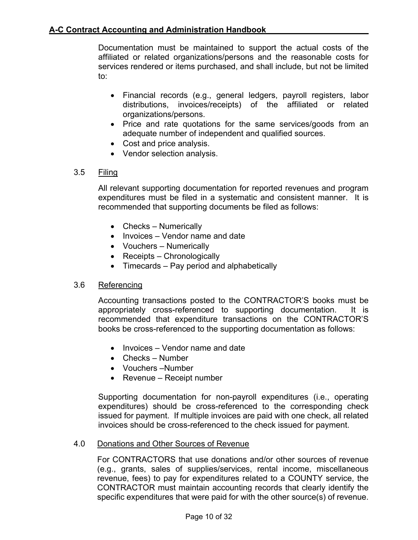Documentation must be maintained to support the actual costs of the affiliated or related organizations/persons and the reasonable costs for services rendered or items purchased, and shall include, but not be limited to:

- Financial records (e.g., general ledgers, payroll registers, labor distributions, invoices/receipts) of the affiliated or related organizations/persons.
- Price and rate quotations for the same services/goods from an adequate number of independent and qualified sources.
- Cost and price analysis.
- Vendor selection analysis.

## 3.5 Filing

All relevant supporting documentation for reported revenues and program expenditures must be filed in a systematic and consistent manner. It is recommended that supporting documents be filed as follows:

- Checks Numerically
- Invoices Vendor name and date
- Vouchers Numerically
- Receipts Chronologically
- Timecards Pay period and alphabetically

## 3.6 Referencing

Accounting transactions posted to the CONTRACTOR'S books must be appropriately cross-referenced to supporting documentation. It is recommended that expenditure transactions on the CONTRACTOR'S books be cross-referenced to the supporting documentation as follows:

- Invoices Vendor name and date
- Checks Number
- Vouchers –Number
- Revenue Receipt number

Supporting documentation for non-payroll expenditures (i.e., operating expenditures) should be cross-referenced to the corresponding check issued for payment. If multiple invoices are paid with one check, all related invoices should be cross-referenced to the check issued for payment.

## 4.0 Donations and Other Sources of Revenue

For CONTRACTORS that use donations and/or other sources of revenue (e.g., grants, sales of supplies/services, rental income, miscellaneous revenue, fees) to pay for expenditures related to a COUNTY service, the CONTRACTOR must maintain accounting records that clearly identify the specific expenditures that were paid for with the other source(s) of revenue.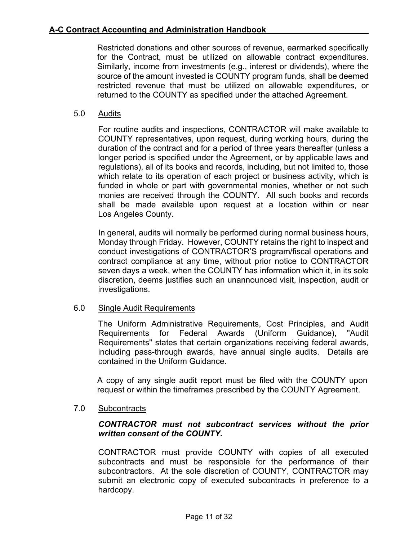Restricted donations and other sources of revenue, earmarked specifically for the Contract, must be utilized on allowable contract expenditures. Similarly, income from investments (e.g., interest or dividends), where the source of the amount invested is COUNTY program funds, shall be deemed restricted revenue that must be utilized on allowable expenditures, or returned to the COUNTY as specified under the attached Agreement.

5.0 Audits

For routine audits and inspections, CONTRACTOR will make available to COUNTY representatives, upon request, during working hours, during the duration of the contract and for a period of three years thereafter (unless a longer period is specified under the Agreement, or by applicable laws and regulations), all of its books and records, including, but not limited to, those which relate to its operation of each project or business activity, which is funded in whole or part with governmental monies, whether or not such monies are received through the COUNTY. All such books and records shall be made available upon request at a location within or near Los Angeles County.

In general, audits will normally be performed during normal business hours, Monday through Friday. However, COUNTY retains the right to inspect and conduct investigations of CONTRACTOR'S program/fiscal operations and contract compliance at any time, without prior notice to CONTRACTOR seven days a week, when the COUNTY has information which it, in its sole discretion, deems justifies such an unannounced visit, inspection, audit or investigations.

### 6.0 Single Audit Requirements

The Uniform Administrative Requirements, Cost Principles, and Audit Requirements for Federal Awards (Uniform Guidance), "Audit Requirements" states that certain organizations receiving federal awards, including pass-through awards, have annual single audits. Details are contained in the Uniform Guidance.

A copy of any single audit report must be filed with the COUNTY upon request or within the timeframes prescribed by the COUNTY Agreement.

7.0 Subcontracts

## *CONTRACTOR must not subcontract services without the prior written consent of the COUNTY.*

CONTRACTOR must provide COUNTY with copies of all executed subcontracts and must be responsible for the performance of their subcontractors. At the sole discretion of COUNTY, CONTRACTOR may submit an electronic copy of executed subcontracts in preference to a hardcopy.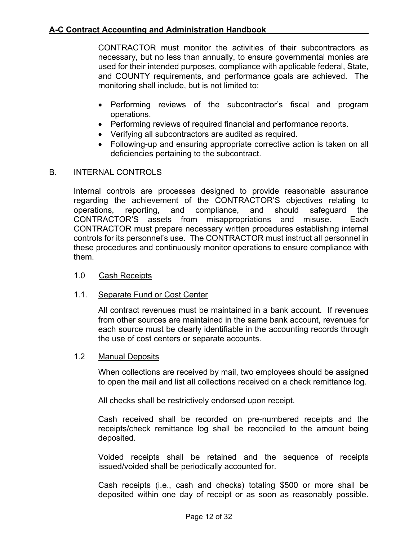CONTRACTOR must monitor the activities of their subcontractors as necessary, but no less than annually, to ensure governmental monies are used for their intended purposes, compliance with applicable federal, State, and COUNTY requirements, and performance goals are achieved. The monitoring shall include, but is not limited to:

- Performing reviews of the subcontractor's fiscal and program operations.
- Performing reviews of required financial and performance reports.
- Verifying all subcontractors are audited as required.
- Following-up and ensuring appropriate corrective action is taken on all deficiencies pertaining to the subcontract.

## B. INTERNAL CONTROLS

Internal controls are processes designed to provide reasonable assurance regarding the achievement of the CONTRACTOR'S objectives relating to operations, reporting, and compliance, and should safeguard the CONTRACTOR'S assets from misappropriations and misuse. Each CONTRACTOR must prepare necessary written procedures establishing internal controls for its personnel's use. The CONTRACTOR must instruct all personnel in these procedures and continuously monitor operations to ensure compliance with them.

## 1.0 Cash Receipts

## 1.1. Separate Fund or Cost Center

All contract revenues must be maintained in a bank account. If revenues from other sources are maintained in the same bank account, revenues for each source must be clearly identifiable in the accounting records through the use of cost centers or separate accounts.

### 1.2 Manual Deposits

When collections are received by mail, two employees should be assigned to open the mail and list all collections received on a check remittance log.

All checks shall be restrictively endorsed upon receipt.

Cash received shall be recorded on pre-numbered receipts and the receipts/check remittance log shall be reconciled to the amount being deposited.

Voided receipts shall be retained and the sequence of receipts issued/voided shall be periodically accounted for.

Cash receipts (i.e., cash and checks) totaling \$500 or more shall be deposited within one day of receipt or as soon as reasonably possible.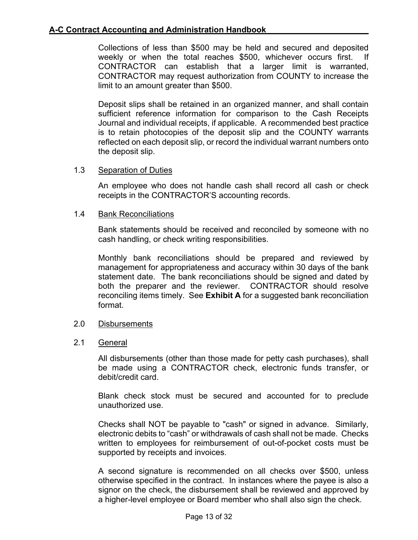Collections of less than \$500 may be held and secured and deposited weekly or when the total reaches \$500, whichever occurs first. If CONTRACTOR can establish that a larger limit is warranted, CONTRACTOR may request authorization from COUNTY to increase the limit to an amount greater than \$500.

Deposit slips shall be retained in an organized manner, and shall contain sufficient reference information for comparison to the Cash Receipts Journal and individual receipts, if applicable. A recommended best practice is to retain photocopies of the deposit slip and the COUNTY warrants reflected on each deposit slip, or record the individual warrant numbers onto the deposit slip.

## 1.3 Separation of Duties

An employee who does not handle cash shall record all cash or check receipts in the CONTRACTOR'S accounting records.

## 1.4 Bank Reconciliations

Bank statements should be received and reconciled by someone with no cash handling, or check writing responsibilities.

Monthly bank reconciliations should be prepared and reviewed by management for appropriateness and accuracy within 30 days of the bank statement date. The bank reconciliations should be signed and dated by both the preparer and the reviewer. CONTRACTOR should resolve reconciling items timely. See **[Exhibit A](#page-31-0)** for a suggested bank reconciliation format.

### 2.0 Disbursements

### 2.1 General

All disbursements (other than those made for petty cash purchases), shall be made using a CONTRACTOR check, electronic funds transfer, or debit/credit card.

Blank check stock must be secured and accounted for to preclude unauthorized use.

Checks shall NOT be payable to "cash" or signed in advance. Similarly, electronic debits to "cash" or withdrawals of cash shall not be made. Checks written to employees for reimbursement of out-of-pocket costs must be supported by receipts and invoices.

A second signature is recommended on all checks over \$500, unless otherwise specified in the contract. In instances where the payee is also a signor on the check, the disbursement shall be reviewed and approved by a higher-level employee or Board member who shall also sign the check.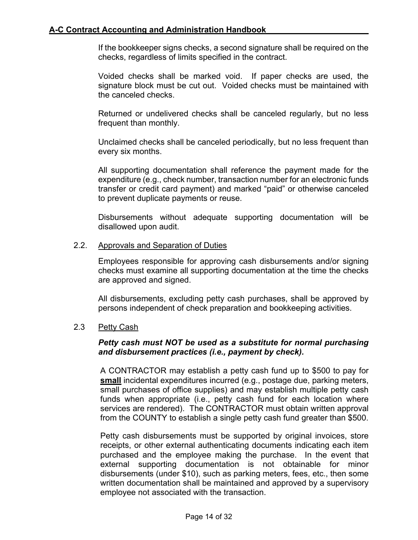If the bookkeeper signs checks, a second signature shall be required on the checks, regardless of limits specified in the contract.

Voided checks shall be marked void. If paper checks are used, the signature block must be cut out. Voided checks must be maintained with the canceled checks.

Returned or undelivered checks shall be canceled regularly, but no less frequent than monthly.

Unclaimed checks shall be canceled periodically, but no less frequent than every six months.

All supporting documentation shall reference the payment made for the expenditure (e.g., check number, transaction number for an electronic funds transfer or credit card payment) and marked "paid" or otherwise canceled to prevent duplicate payments or reuse.

Disbursements without adequate supporting documentation will be disallowed upon audit.

### 2.2. Approvals and Separation of Duties

Employees responsible for approving cash disbursements and/or signing checks must examine all supporting documentation at the time the checks are approved and signed.

All disbursements, excluding petty cash purchases, shall be approved by persons independent of check preparation and bookkeeping activities.

### 2.3 Petty Cash

### *Petty cash must NOT be used as a substitute for normal purchasing and disbursement practices (i.e., payment by check).*

A CONTRACTOR may establish a petty cash fund up to \$500 to pay for **small** incidental expenditures incurred (e.g., postage due, parking meters, small purchases of office supplies) and may establish multiple petty cash funds when appropriate (i.e., petty cash fund for each location where services are rendered). The CONTRACTOR must obtain written approval from the COUNTY to establish a single petty cash fund greater than \$500.

Petty cash disbursements must be supported by original invoices, store receipts, or other external authenticating documents indicating each item purchased and the employee making the purchase. In the event that external supporting documentation is not obtainable for minor disbursements (under \$10), such as parking meters, fees, etc., then some written documentation shall be maintained and approved by a supervisory employee not associated with the transaction.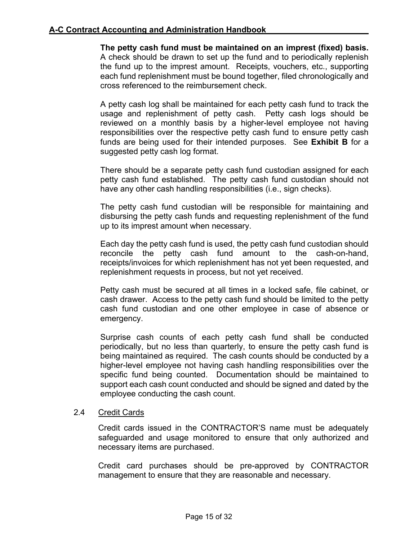## **A-C Contract Accounting and Administration Handbook**

**The petty cash fund must be maintained on an imprest (fixed) basis.** A check should be drawn to set up the fund and to periodically replenish the fund up to the imprest amount. Receipts, vouchers, etc., supporting each fund replenishment must be bound together, filed chronologically and cross referenced to the reimbursement check.

A petty cash log shall be maintained for each petty cash fund to track the usage and replenishment of petty cash. Petty cash logs should be reviewed on a monthly basis by a higher-level employee not having responsibilities over the respective petty cash fund to ensure petty cash funds are being used for their intended purposes. See **[Exhibit B](#page-32-0)** for a suggested petty cash log format.

There should be a separate petty cash fund custodian assigned for each petty cash fund established. The petty cash fund custodian should not have any other cash handling responsibilities (i.e., sign checks).

The petty cash fund custodian will be responsible for maintaining and disbursing the petty cash funds and requesting replenishment of the fund up to its imprest amount when necessary.

Each day the petty cash fund is used, the petty cash fund custodian should reconcile the petty cash fund amount to the cash-on-hand, receipts/invoices for which replenishment has not yet been requested, and replenishment requests in process, but not yet received.

Petty cash must be secured at all times in a locked safe, file cabinet, or cash drawer. Access to the petty cash fund should be limited to the petty cash fund custodian and one other employee in case of absence or emergency.

Surprise cash counts of each petty cash fund shall be conducted periodically, but no less than quarterly, to ensure the petty cash fund is being maintained as required. The cash counts should be conducted by a higher-level employee not having cash handling responsibilities over the specific fund being counted. Documentation should be maintained to support each cash count conducted and should be signed and dated by the employee conducting the cash count.

### 2.4 Credit Cards

Credit cards issued in the CONTRACTOR'S name must be adequately safeguarded and usage monitored to ensure that only authorized and necessary items are purchased.

Credit card purchases should be pre-approved by CONTRACTOR management to ensure that they are reasonable and necessary.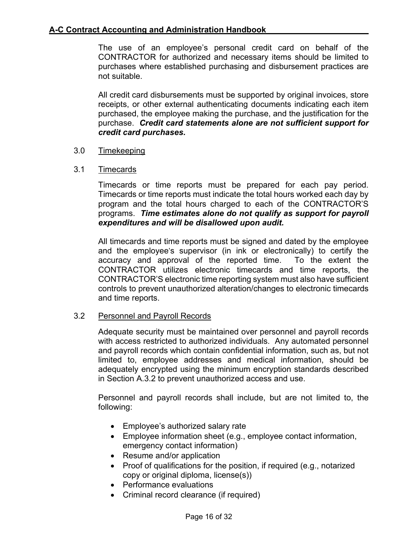The use of an employee's personal credit card on behalf of the CONTRACTOR for authorized and necessary items should be limited to purchases where established purchasing and disbursement practices are not suitable.

All credit card disbursements must be supported by original invoices, store receipts, or other external authenticating documents indicating each item purchased, the employee making the purchase, and the justification for the purchase. *Credit card statements alone are not sufficient support for credit card purchases.*

## 3.0 Timekeeping

## 3.1 Timecards

Timecards or time reports must be prepared for each pay period. Timecards or time reports must indicate the total hours worked each day by program and the total hours charged to each of the CONTRACTOR'S programs. *Time estimates alone do not qualify as support for payroll expenditures and will be disallowed upon audit.*

All timecards and time reports must be signed and dated by the employee and the employee's supervisor (in ink or electronically) to certify the accuracy and approval of the reported time. To the extent the CONTRACTOR utilizes electronic timecards and time reports, the CONTRACTOR'S electronic time reporting system must also have sufficient controls to prevent unauthorized alteration/changes to electronic timecards and time reports.

### 3.2 Personnel and Payroll Records

Adequate security must be maintained over personnel and payroll records with access restricted to authorized individuals. Any automated personnel and payroll records which contain confidential information, such as, but not limited to, employee addresses and medical information, should be adequately encrypted using the minimum encryption standards described in Section A.3.2 to prevent unauthorized access and use.

Personnel and payroll records shall include, but are not limited to, the following:

- Employee's authorized salary rate
- Employee information sheet (e.g., employee contact information, emergency contact information)
- Resume and/or application
- Proof of qualifications for the position, if required (e.g., notarized copy or original diploma, license(s))
- Performance evaluations
- Criminal record clearance (if required)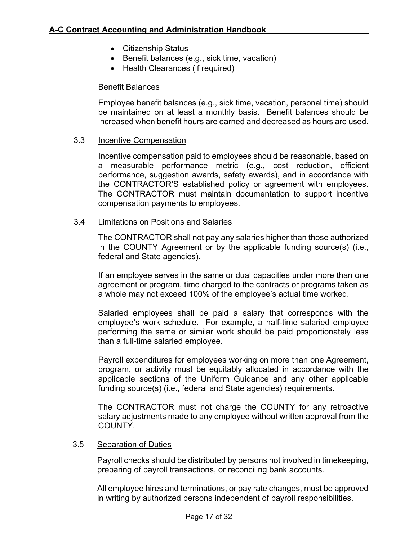- Citizenship Status
- Benefit balances (e.g., sick time, vacation)
- Health Clearances (if required)

### Benefit Balances

Employee benefit balances (e.g., sick time, vacation, personal time) should be maintained on at least a monthly basis. Benefit balances should be increased when benefit hours are earned and decreased as hours are used.

#### 3.3 Incentive Compensation

Incentive compensation paid to employees should be reasonable, based on a measurable performance metric (e.g., cost reduction, efficient performance, suggestion awards, safety awards), and in accordance with the CONTRACTOR'S established policy or agreement with employees. The CONTRACTOR must maintain documentation to support incentive compensation payments to employees.

#### 3.4 Limitations on Positions and Salaries

The CONTRACTOR shall not pay any salaries higher than those authorized in the COUNTY Agreement or by the applicable funding source(s) (i.e., federal and State agencies).

If an employee serves in the same or dual capacities under more than one agreement or program, time charged to the contracts or programs taken as a whole may not exceed 100% of the employee's actual time worked.

Salaried employees shall be paid a salary that corresponds with the employee's work schedule. For example, a half-time salaried employee performing the same or similar work should be paid proportionately less than a full-time salaried employee.

Payroll expenditures for employees working on more than one Agreement, program, or activity must be equitably allocated in accordance with the applicable sections of the Uniform Guidance and any other applicable funding source(s) (i.e., federal and State agencies) requirements.

The CONTRACTOR must not charge the COUNTY for any retroactive salary adjustments made to any employee without written approval from the COUNTY.

#### 3.5 Separation of Duties

Payroll checks should be distributed by persons not involved in timekeeping, preparing of payroll transactions, or reconciling bank accounts.

All employee hires and terminations, or pay rate changes, must be approved in writing by authorized persons independent of payroll responsibilities.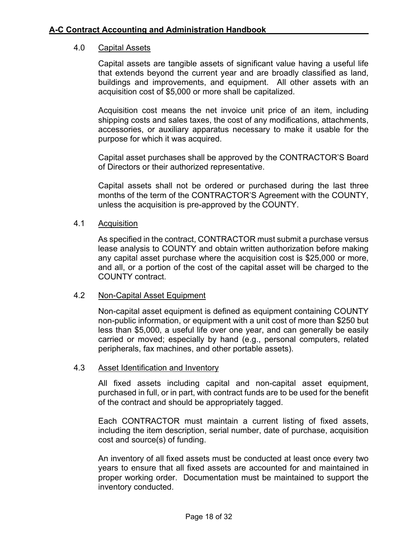### 4.0 Capital Assets

Capital assets are tangible assets of significant value having a useful life that extends beyond the current year and are broadly classified as land, buildings and improvements, and equipment. All other assets with an acquisition cost of \$5,000 or more shall be capitalized.

Acquisition cost means the net invoice unit price of an item, including shipping costs and sales taxes, the cost of any modifications, attachments, accessories, or auxiliary apparatus necessary to make it usable for the purpose for which it was acquired.

Capital asset purchases shall be approved by the CONTRACTOR'S Board of Directors or their authorized representative.

Capital assets shall not be ordered or purchased during the last three months of the term of the CONTRACTOR'S Agreement with the COUNTY, unless the acquisition is pre-approved by the COUNTY.

### 4.1 Acquisition

As specified in the contract, CONTRACTOR must submit a purchase versus lease analysis to COUNTY and obtain written authorization before making any capital asset purchase where the acquisition cost is \$25,000 or more, and all, or a portion of the cost of the capital asset will be charged to the COUNTY contract.

### 4.2 Non-Capital Asset Equipment

Non-capital asset equipment is defined as equipment containing COUNTY non-public information, or equipment with a unit cost of more than \$250 but less than \$5,000, a useful life over one year, and can generally be easily carried or moved; especially by hand (e.g., personal computers, related peripherals, fax machines, and other portable assets).

### 4.3 Asset Identification and Inventory

All fixed assets including capital and non-capital asset equipment, purchased in full, or in part, with contract funds are to be used for the benefit of the contract and should be appropriately tagged.

Each CONTRACTOR must maintain a current listing of fixed assets, including the item description, serial number, date of purchase, acquisition cost and source(s) of funding.

An inventory of all fixed assets must be conducted at least once every two years to ensure that all fixed assets are accounted for and maintained in proper working order. Documentation must be maintained to support the inventory conducted.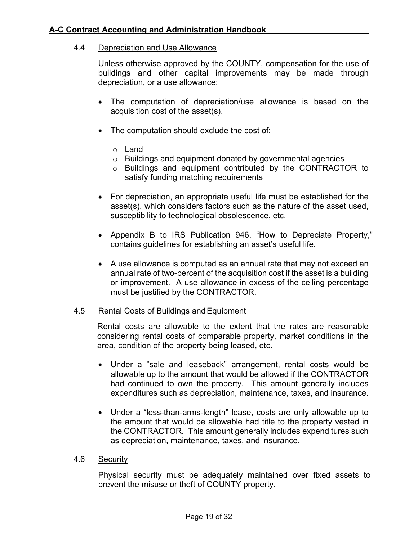### 4.4 Depreciation and Use Allowance

Unless otherwise approved by the COUNTY, compensation for the use of buildings and other capital improvements may be made through depreciation, or a use allowance:

- The computation of depreciation/use allowance is based on the acquisition cost of the asset(s).
- The computation should exclude the cost of:
	- o Land
	- o Buildings and equipment donated by governmental agencies
	- o Buildings and equipment contributed by the CONTRACTOR to satisfy funding matching requirements
- For depreciation, an appropriate useful life must be established for the asset(s), which considers factors such as the nature of the asset used, susceptibility to technological obsolescence, etc.
- Appendix B to IRS Publication 946, "How to Depreciate Property," contains guidelines for establishing an asset's useful life.
- A use allowance is computed as an annual rate that may not exceed an annual rate of two-percent of the acquisition cost if the asset is a building or improvement. A use allowance in excess of the ceiling percentage must be justified by the CONTRACTOR.

### 4.5 Rental Costs of Buildings and Equipment

Rental costs are allowable to the extent that the rates are reasonable considering rental costs of comparable property, market conditions in the area, condition of the property being leased, etc.

- Under a "sale and leaseback" arrangement, rental costs would be allowable up to the amount that would be allowed if the CONTRACTOR had continued to own the property. This amount generally includes expenditures such as depreciation, maintenance, taxes, and insurance.
- Under a "less-than-arms-length" lease, costs are only allowable up to the amount that would be allowable had title to the property vested in the CONTRACTOR. This amount generally includes expenditures such as depreciation, maintenance, taxes, and insurance.

#### 4.6 Security

Physical security must be adequately maintained over fixed assets to prevent the misuse or theft of COUNTY property.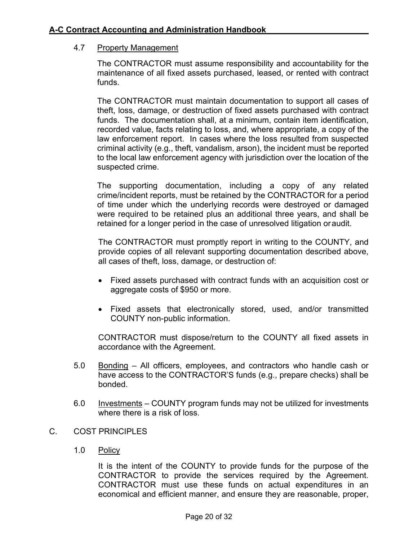### 4.7 Property Management

The CONTRACTOR must assume responsibility and accountability for the maintenance of all fixed assets purchased, leased, or rented with contract funds.

The CONTRACTOR must maintain documentation to support all cases of theft, loss, damage, or destruction of fixed assets purchased with contract funds. The documentation shall, at a minimum, contain item identification, recorded value, facts relating to loss, and, where appropriate, a copy of the law enforcement report. In cases where the loss resulted from suspected criminal activity (e.g., theft, vandalism, arson), the incident must be reported to the local law enforcement agency with jurisdiction over the location of the suspected crime.

The supporting documentation, including a copy of any related crime/incident reports, must be retained by the CONTRACTOR for a period of time under which the underlying records were destroyed or damaged were required to be retained plus an additional three years, and shall be retained for a longer period in the case of unresolved litigation oraudit.

The CONTRACTOR must promptly report in writing to the COUNTY, and provide copies of all relevant supporting documentation described above, all cases of theft, loss, damage, or destruction of:

- Fixed assets purchased with contract funds with an acquisition cost or aggregate costs of \$950 or more.
- Fixed assets that electronically stored, used, and/or transmitted COUNTY non-public information.

CONTRACTOR must dispose/return to the COUNTY all fixed assets in accordance with the Agreement.

- 5.0 Bonding All officers, employees, and contractors who handle cash or have access to the CONTRACTOR'S funds (e.g., prepare checks) shall be bonded.
- 6.0 Investments COUNTY program funds may not be utilized for investments where there is a risk of loss.
- C. COST PRINCIPLES
	- 1.0 Policy

It is the intent of the COUNTY to provide funds for the purpose of the CONTRACTOR to provide the services required by the Agreement. CONTRACTOR must use these funds on actual expenditures in an economical and efficient manner, and ensure they are reasonable, proper,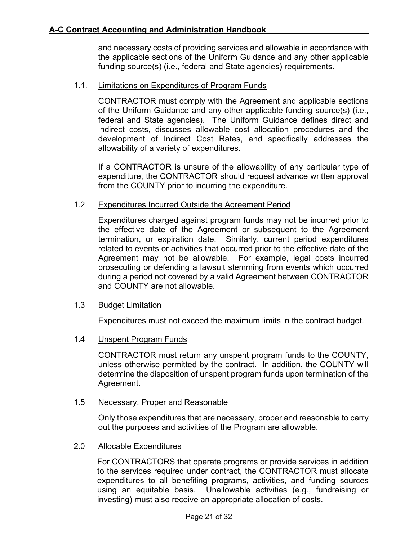and necessary costs of providing services and allowable in accordance with the applicable sections of the Uniform Guidance and any other applicable funding source(s) (i.e., federal and State agencies) requirements.

## 1.1. Limitations on Expenditures of Program Funds

CONTRACTOR must comply with the Agreement and applicable sections of the Uniform Guidance and any other applicable funding source(s) (i.e., federal and State agencies). The Uniform Guidance defines direct and indirect costs, discusses allowable cost allocation procedures and the development of Indirect Cost Rates, and specifically addresses the allowability of a variety of expenditures.

If a CONTRACTOR is unsure of the allowability of any particular type of expenditure, the CONTRACTOR should request advance written approval from the COUNTY prior to incurring the expenditure.

### 1.2 Expenditures Incurred Outside the Agreement Period

Expenditures charged against program funds may not be incurred prior to the effective date of the Agreement or subsequent to the Agreement termination, or expiration date. Similarly, current period expenditures related to events or activities that occurred prior to the effective date of the Agreement may not be allowable. For example, legal costs incurred prosecuting or defending a lawsuit stemming from events which occurred during a period not covered by a valid Agreement between CONTRACTOR and COUNTY are not allowable.

### 1.3 Budget Limitation

Expenditures must not exceed the maximum limits in the contract budget.

## 1.4 Unspent Program Funds

CONTRACTOR must return any unspent program funds to the COUNTY, unless otherwise permitted by the contract. In addition, the COUNTY will determine the disposition of unspent program funds upon termination of the Agreement.

### 1.5 Necessary, Proper and Reasonable

Only those expenditures that are necessary, proper and reasonable to carry out the purposes and activities of the Program are allowable.

### 2.0 Allocable Expenditures

For CONTRACTORS that operate programs or provide services in addition to the services required under contract, the CONTRACTOR must allocate expenditures to all benefiting programs, activities, and funding sources using an equitable basis. Unallowable activities (e.g., fundraising or investing) must also receive an appropriate allocation of costs.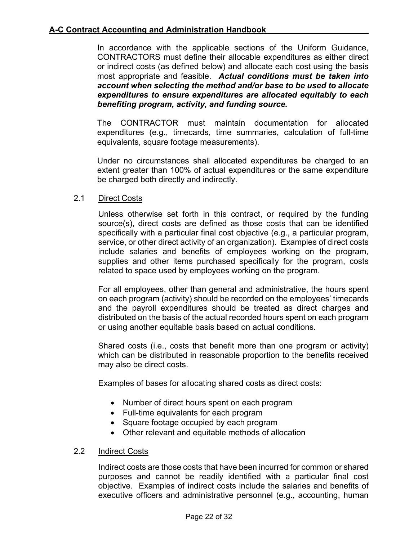## **A-C Contract Accounting and Administration Handbook**

In accordance with the applicable sections of the Uniform Guidance, CONTRACTORS must define their allocable expenditures as either direct or indirect costs (as defined below) and allocate each cost using the basis most appropriate and feasible. *Actual conditions must be taken into account when selecting the method and/or base to be used to allocate expenditures to ensure expenditures are allocated equitably to each benefiting program, activity, and funding source.*

The CONTRACTOR must maintain documentation for allocated expenditures (e.g., timecards, time summaries, calculation of full-time equivalents, square footage measurements).

Under no circumstances shall allocated expenditures be charged to an extent greater than 100% of actual expenditures or the same expenditure be charged both directly and indirectly.

## 2.1 Direct Costs

Unless otherwise set forth in this contract, or required by the funding source(s), direct costs are defined as those costs that can be identified specifically with a particular final cost objective (e.g., a particular program, service, or other direct activity of an organization). Examples of direct costs include salaries and benefits of employees working on the program, supplies and other items purchased specifically for the program, costs related to space used by employees working on the program.

For all employees, other than general and administrative, the hours spent on each program (activity) should be recorded on the employees' timecards and the payroll expenditures should be treated as direct charges and distributed on the basis of the actual recorded hours spent on each program or using another equitable basis based on actual conditions.

Shared costs (i.e., costs that benefit more than one program or activity) which can be distributed in reasonable proportion to the benefits received may also be direct costs.

Examples of bases for allocating shared costs as direct costs:

- Number of direct hours spent on each program
- Full-time equivalents for each program
- Square footage occupied by each program
- Other relevant and equitable methods of allocation

### 2.2 Indirect Costs

Indirect costs are those costs that have been incurred for common or shared purposes and cannot be readily identified with a particular final cost objective. Examples of indirect costs include the salaries and benefits of executive officers and administrative personnel (e.g., accounting, human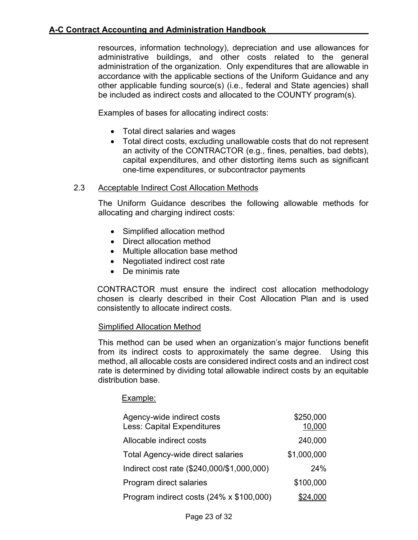resources, information technology), depreciation and use allowances for administrative buildings, and other costs related to the general administration of the organization. Only expenditures that are allowable in accordance with the applicable sections of the Uniform Guidance and any other applicable funding source(s) (i.e., federal and State agencies) shall be included as indirect costs and allocated to the COUNTY program(s).

Examples of bases for allocating indirect costs:

- Total direct salaries and wages
- Total direct costs, excluding unallowable costs that do not represent an activity of the CONTRACTOR (e.g., fines, penalties, bad debts), capital expenditures, and other distorting items such as significant one-time expenditures, or subcontractor payments

## 2.3 Acceptable Indirect Cost Allocation Methods

The Uniform Guidance describes the following allowable methods for allocating and charging indirect costs:

- Simplified allocation method
- Direct allocation method
- Multiple allocation base method
- Negotiated indirect cost rate
- De minimis rate

CONTRACTOR must ensure the indirect cost allocation methodology chosen is clearly described in their Cost Allocation Plan and is used consistently to allocate indirect costs.

### Simplified Allocation Method

This method can be used when an organization's major functions benefit from its indirect costs to approximately the same degree. Using this method, all allocable costs are considered indirect costs and an indirect cost rate is determined by dividing total allowable indirect costs by an equitable distribution base.

## Example:

| Agency-wide indirect costs<br><b>Less: Capital Expenditures</b> | \$250,000<br>10,000 |
|-----------------------------------------------------------------|---------------------|
| Allocable indirect costs                                        | 240,000             |
| <b>Total Agency-wide direct salaries</b>                        | \$1,000,000         |
| Indirect cost rate (\$240,000/\$1,000,000)                      | 24%                 |
| Program direct salaries                                         | \$100,000           |
| Program indirect costs (24% x \$100,000)                        | \$24,000            |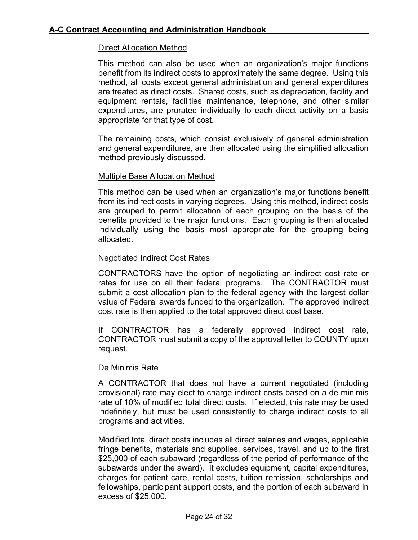## Direct Allocation Method

This method can also be used when an organization's major functions benefit from its indirect costs to approximately the same degree. Using this method, all costs except general administration and general expenditures are treated as direct costs. Shared costs, such as depreciation, facility and equipment rentals, facilities maintenance, telephone, and other similar expenditures, are prorated individually to each direct activity on a basis appropriate for that type of cost.

The remaining costs, which consist exclusively of general administration and general expenditures, are then allocated using the simplified allocation method previously discussed.

## Multiple Base Allocation Method

This method can be used when an organization's major functions benefit from its indirect costs in varying degrees. Using this method, indirect costs are grouped to permit allocation of each grouping on the basis of the benefits provided to the major functions. Each grouping is then allocated individually using the basis most appropriate for the grouping being allocated.

## Negotiated Indirect Cost Rates

CONTRACTORS have the option of negotiating an indirect cost rate or rates for use on all their federal programs. The CONTRACTOR must submit a cost allocation plan to the federal agency with the largest dollar value of Federal awards funded to the organization. The approved indirect cost rate is then applied to the total approved direct cost base.

If CONTRACTOR has a federally approved indirect cost rate, CONTRACTOR must submit a copy of the approval letter to COUNTY upon request.

### De Minimis Rate

A CONTRACTOR that does not have a current negotiated (including provisional) rate may elect to charge indirect costs based on a de minimis rate of 10% of modified total direct costs. If elected, this rate may be used indefinitely, but must be used consistently to charge indirect costs to all programs and activities.

Modified total direct costs includes all direct salaries and wages, applicable fringe benefits, materials and supplies, services, travel, and up to the first \$25,000 of each subaward (regardless of the period of performance of the subawards under the award). It excludes equipment, capital expenditures, charges for patient care, rental costs, tuition remission, scholarships and fellowships, participant support costs, and the portion of each subaward in excess of \$25,000.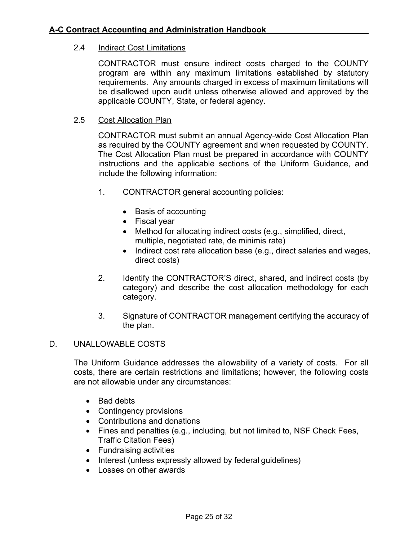### 2.4 Indirect Cost Limitations

CONTRACTOR must ensure indirect costs charged to the COUNTY program are within any maximum limitations established by statutory requirements. Any amounts charged in excess of maximum limitations will be disallowed upon audit unless otherwise allowed and approved by the applicable COUNTY, State, or federal agency.

### 2.5 Cost Allocation Plan

CONTRACTOR must submit an annual Agency-wide Cost Allocation Plan as required by the COUNTY agreement and when requested by COUNTY. The Cost Allocation Plan must be prepared in accordance with COUNTY instructions and the applicable sections of the Uniform Guidance, and include the following information:

- 1. CONTRACTOR general accounting policies:
	- Basis of accounting
	- Fiscal year
	- Method for allocating indirect costs (e.g., simplified, direct, multiple, negotiated rate, de minimis rate)
	- Indirect cost rate allocation base (e.g., direct salaries and wages, direct costs)
- 2. Identify the CONTRACTOR'S direct, shared, and indirect costs (by category) and describe the cost allocation methodology for each category.
- 3. Signature of CONTRACTOR management certifying the accuracy of the plan.

### D. UNALLOWABLE COSTS

The Uniform Guidance addresses the allowability of a variety of costs. For all costs, there are certain restrictions and limitations; however, the following costs are not allowable under any circumstances:

- Bad debts
- Contingency provisions
- Contributions and donations
- Fines and penalties (e.g., including, but not limited to, NSF Check Fees, Traffic Citation Fees)
- Fundraising activities
- Interest (unless expressly allowed by federal guidelines)
- Losses on other awards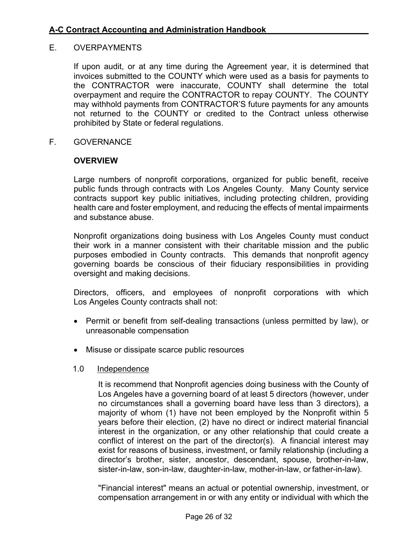### E. OVERPAYMENTS

If upon audit, or at any time during the Agreement year, it is determined that invoices submitted to the COUNTY which were used as a basis for payments to the CONTRACTOR were inaccurate, COUNTY shall determine the total overpayment and require the CONTRACTOR to repay COUNTY. The COUNTY may withhold payments from CONTRACTOR'S future payments for any amounts not returned to the COUNTY or credited to the Contract unless otherwise prohibited by State or federal regulations.

F. GOVERNANCE

#### **OVERVIEW**

Large numbers of nonprofit corporations, organized for public benefit, receive public funds through contracts with Los Angeles County. Many County service contracts support key public initiatives, including protecting children, providing health care and foster employment, and reducing the effects of mental impairments and substance abuse.

Nonprofit organizations doing business with Los Angeles County must conduct their work in a manner consistent with their charitable mission and the public purposes embodied in County contracts. This demands that nonprofit agency governing boards be conscious of their fiduciary responsibilities in providing oversight and making decisions.

Directors, officers, and employees of nonprofit corporations with which Los Angeles County contracts shall not:

- Permit or benefit from self-dealing transactions (unless permitted by law), or unreasonable compensation
- Misuse or dissipate scarce public resources

#### 1.0 Independence

It is recommend that Nonprofit agencies doing business with the County of Los Angeles have a governing board of at least 5 directors (however, under no circumstances shall a governing board have less than 3 directors), a majority of whom (1) have not been employed by the Nonprofit within 5 years before their election, (2) have no direct or indirect material financial interest in the organization, or any other relationship that could create a conflict of interest on the part of the director(s). A financial interest may exist for reasons of business, investment, or family relationship (including a director's brother, sister, ancestor, descendant, spouse, brother-in-law, sister-in-law, son-in-law, daughter-in-law, mother-in-law, or father-in-law).

"Financial interest" means an actual or potential ownership, investment, or compensation arrangement in or with any entity or individual with which the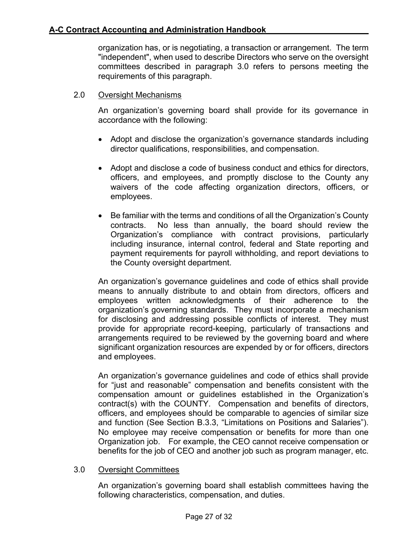organization has, or is negotiating, a transaction or arrangement. The term "independent", when used to describe Directors who serve on the oversight committees described in paragraph 3.0 refers to persons meeting the requirements of this paragraph.

## 2.0 Oversight Mechanisms

An organization's governing board shall provide for its governance in accordance with the following:

- Adopt and disclose the organization's governance standards including director qualifications, responsibilities, and compensation.
- Adopt and disclose a code of business conduct and ethics for directors, officers, and employees, and promptly disclose to the County any waivers of the code affecting organization directors, officers, or employees.
- Be familiar with the terms and conditions of all the Organization's County contracts. No less than annually, the board should review the Organization's compliance with contract provisions, particularly including insurance, internal control, federal and State reporting and payment requirements for payroll withholding, and report deviations to the County oversight department.

An organization's governance guidelines and code of ethics shall provide means to annually distribute to and obtain from directors, officers and employees written acknowledgments of their adherence to the organization's governing standards. They must incorporate a mechanism for disclosing and addressing possible conflicts of interest. They must provide for appropriate record-keeping, particularly of transactions and arrangements required to be reviewed by the governing board and where significant organization resources are expended by or for officers, directors and employees.

An organization's governance guidelines and code of ethics shall provide for "just and reasonable" compensation and benefits consistent with the compensation amount or guidelines established in the Organization's contract(s) with the COUNTY. Compensation and benefits of directors, officers, and employees should be comparable to agencies of similar size and function (See Section B.3.3, "Limitations on Positions and Salaries"). No employee may receive compensation or benefits for more than one Organization job. For example, the CEO cannot receive compensation or benefits for the job of CEO and another job such as program manager, etc.

### 3.0 Oversight Committees

An organization's governing board shall establish committees having the following characteristics, compensation, and duties.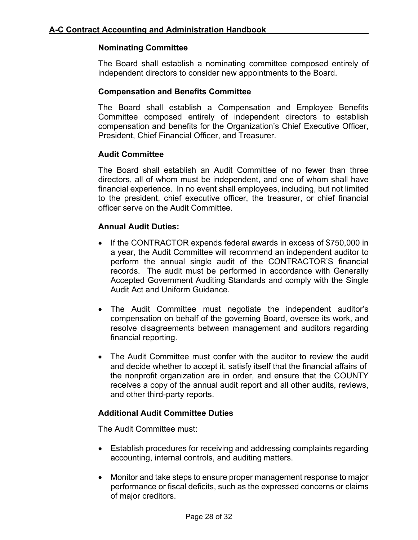## **Nominating Committee**

The Board shall establish a nominating committee composed entirely of independent directors to consider new appointments to the Board.

## **Compensation and Benefits Committee**

The Board shall establish a Compensation and Employee Benefits Committee composed entirely of independent directors to establish compensation and benefits for the Organization's Chief Executive Officer, President, Chief Financial Officer, and Treasurer.

## **Audit Committee**

The Board shall establish an Audit Committee of no fewer than three directors, all of whom must be independent, and one of whom shall have financial experience. In no event shall employees, including, but not limited to the president, chief executive officer, the treasurer, or chief financial officer serve on the Audit Committee.

## **Annual Audit Duties:**

- If the CONTRACTOR expends federal awards in excess of \$750,000 in a year, the Audit Committee will recommend an independent auditor to perform the annual single audit of the CONTRACTOR'S financial records. The audit must be performed in accordance with Generally Accepted Government Auditing Standards and comply with the Single Audit Act and Uniform Guidance.
- The Audit Committee must negotiate the independent auditor's compensation on behalf of the governing Board, oversee its work, and resolve disagreements between management and auditors regarding financial reporting.
- The Audit Committee must confer with the auditor to review the audit and decide whether to accept it, satisfy itself that the financial affairs of the nonprofit organization are in order, and ensure that the COUNTY receives a copy of the annual audit report and all other audits, reviews, and other third-party reports.

## **Additional Audit Committee Duties**

The Audit Committee must:

- Establish procedures for receiving and addressing complaints regarding accounting, internal controls, and auditing matters.
- Monitor and take steps to ensure proper management response to major performance or fiscal deficits, such as the expressed concerns or claims of major creditors.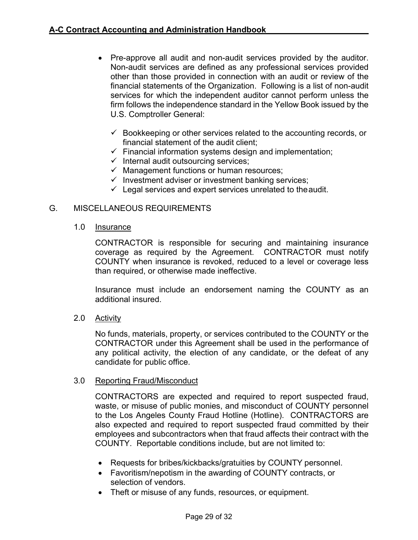- Pre-approve all audit and non-audit services provided by the auditor. Non-audit services are defined as any professional services provided other than those provided in connection with an audit or review of the financial statements of the Organization. Following is a list of non-audit services for which the independent auditor cannot perform unless the firm follows the independence standard in the Yellow Book issued by the U.S. Comptroller General:
	- $\checkmark$  Bookkeeping or other services related to the accounting records, or financial statement of the audit client;
	- $\checkmark$  Financial information systems design and implementation;
	- $\checkmark$  Internal audit outsourcing services;
	- $\checkmark$  Management functions or human resources;
	- $\checkmark$  Investment adviser or investment banking services;
	- $\checkmark$  Legal services and expert services unrelated to the audit.

### G. MISCELLANEOUS REQUIREMENTS

1.0 Insurance

CONTRACTOR is responsible for securing and maintaining insurance coverage as required by the Agreement. CONTRACTOR must notify COUNTY when insurance is revoked, reduced to a level or coverage less than required, or otherwise made ineffective.

Insurance must include an endorsement naming the COUNTY as an additional insured.

2.0 Activity

No funds, materials, property, or services contributed to the COUNTY or the CONTRACTOR under this Agreement shall be used in the performance of any political activity, the election of any candidate, or the defeat of any candidate for public office.

#### 3.0 Reporting Fraud/Misconduct

CONTRACTORS are expected and required to report suspected fraud, waste, or misuse of public monies, and misconduct of COUNTY personnel to the Los Angeles County Fraud Hotline (Hotline). CONTRACTORS are also expected and required to report suspected fraud committed by their employees and subcontractors when that fraud affects their contract with the COUNTY. Reportable conditions include, but are not limited to:

- Requests for bribes/kickbacks/gratuities by COUNTY personnel.
- Favoritism/nepotism in the awarding of COUNTY contracts, or selection of vendors.
- Theft or misuse of any funds, resources, or equipment.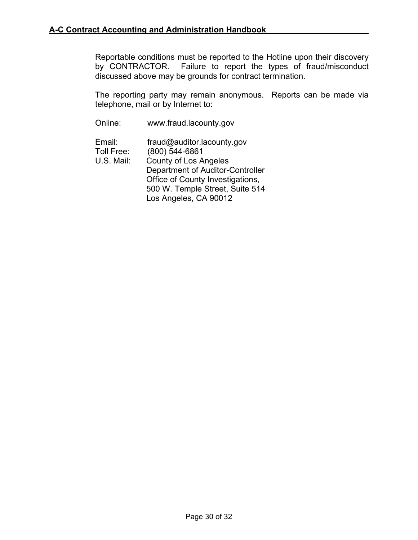Reportable conditions must be reported to the Hotline upon their discovery by CONTRACTOR. Failure to report the types of fraud/misconduct discussed above may be grounds for contract termination.

The reporting party may remain anonymous. Reports can be made via telephone, mail or by Internet to:

Online: www.fraud.lacounty.gov

Email: [fraud@auditor.lacounty.gov](mailto:hotline@auditor.lacounty.gov)<br>Toll Free: (800) 544-6861  $(800)$  544-6861 U.S. Mail: County of Los Angeles Department of Auditor-Controller Office of County Investigations, 500 W. Temple Street, Suite 514 Los Angeles, CA 90012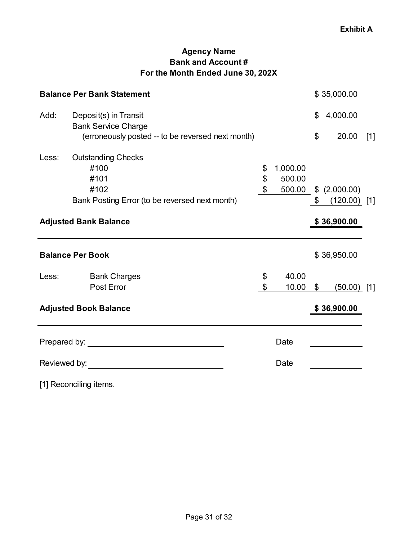# **Agency Name Bank and Account # For the Month Ended June 30, 202X**

<span id="page-31-0"></span>

| <b>Balance Per Bank Statement</b> | \$35,000.00                                                                                                                                                                                                                    |                |                |                      |       |
|-----------------------------------|--------------------------------------------------------------------------------------------------------------------------------------------------------------------------------------------------------------------------------|----------------|----------------|----------------------|-------|
| Add:                              | Deposit(s) in Transit<br><b>Bank Service Charge</b>                                                                                                                                                                            |                | \$             | 4,000.00             |       |
|                                   | (erroneously posted -- to be reversed next month)                                                                                                                                                                              |                | \$             | 20.00                | $[1]$ |
| Less:                             | <b>Outstanding Checks</b>                                                                                                                                                                                                      |                |                |                      |       |
|                                   | #100                                                                                                                                                                                                                           | \$<br>1,000.00 |                |                      |       |
|                                   | #101                                                                                                                                                                                                                           | \$<br>500.00   |                |                      |       |
|                                   | #102                                                                                                                                                                                                                           | \$             | $\mathbb{S}^-$ | 500.00 \$ (2,000.00) |       |
|                                   | Bank Posting Error (to be reversed next month)                                                                                                                                                                                 |                |                | $(120.00)$ [1]       |       |
| <b>Adjusted Bank Balance</b>      |                                                                                                                                                                                                                                |                |                | \$36,900.00          |       |
|                                   | <b>Balance Per Book</b>                                                                                                                                                                                                        |                |                | \$36,950.00          |       |
| Less:                             | <b>Bank Charges</b>                                                                                                                                                                                                            | \$<br>40.00    |                |                      |       |
|                                   | Post Error                                                                                                                                                                                                                     | \$<br>10.00    | $\mathfrak{S}$ | $(50.00)$ [1]        |       |
|                                   | <b>Adjusted Book Balance</b>                                                                                                                                                                                                   |                |                | \$36,900.00          |       |
|                                   |                                                                                                                                                                                                                                | Date           |                |                      |       |
|                                   | Reviewed by: The contract of the contract of the contract of the contract of the contract of the contract of the contract of the contract of the contract of the contract of the contract of the contract of the contract of t | Date           |                |                      |       |

[1] Reconciling items.